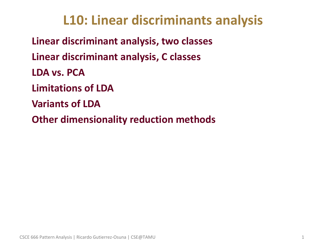## **L10: Linear discriminants analysis**

• **Linear discriminant analysis, two classes** • **Linear discriminant analysis, C classes** • **LDA vs. PCA** • **Limitations of LDA** • **Variants of LDA** • **Other dimensionality reduction methods**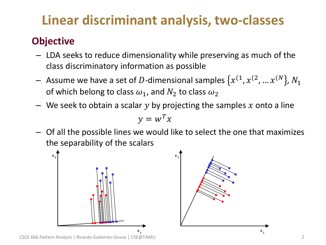# **Linear discriminant analysis, two-classes**

## • **Objective**

- LDA seeks to reduce dimensionality while preserving as much of the class discriminatory information as possible
- $-$  Assume we have a set of  $D$ -dimensional samples  $\{x^{(1}, x^{(2)}, ... x^{(N)}\}$ ,  $N_1$ of which belong to class  $\omega_1$ , and  $N_2$  to class  $\omega_2$
- We seek to obtain a scalar  $y$  by projecting the samples  $x$  onto a line  $y = w^T x$
- Of all the possible lines we would like to select the one that maximizes the separability of the scalars

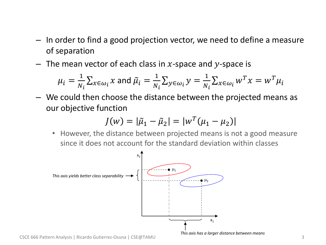- In order to find a good projection vector, we need to define a measure of separation
- The mean vector of each class in x-space and y-space is

$$
\mu_i = \frac{1}{N_i} \sum_{x \in \omega_i} x
$$
 and  $\tilde{\mu}_i = \frac{1}{N_i} \sum_{y \in \omega_i} y = \frac{1}{N_i} \sum_{x \in \omega_i} w^T x = w^T \mu_i$ 

– We could then choose the distance between the projected means as our objective function

$$
J(w) = |\tilde{\mu}_1 - \tilde{\mu}_2| = |w^T(\mu_1 - \mu_2)|
$$

• However, the distance between projected means is not a good measure since it does not account for the standard deviation within classes



*This axis has a larger distance between means*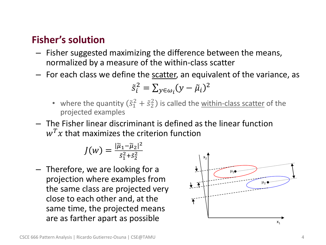## • **Fisher's solution**

- Fisher suggested maximizing the difference between the means, normalized by a measure of the within-class scatter
- For each class we define the scatter, an equivalent of the variance, as

$$
\tilde{s}_i^2 = \sum_{y \in \omega_i} (y - \tilde{\mu}_i)^2
$$

- where the quantity  $(\tilde{s}_1^2 + \tilde{s}_2^2)$  is called the <u>within-class scatter</u> of the projected examples
- The Fisher linear discriminant is defined as the linear function  $w<sup>T</sup>x$  that maximizes the criterion function

$$
J(w) = \frac{|\widetilde{\mu}_1 - \widetilde{\mu}_2|^2}{\tilde{s}_1^2 + \tilde{s}_2^2}
$$

– Therefore, we are looking for a projection where examples from the same class are projected very close to each other and, at the same time, the projected means are as farther apart as possible  $\frac{1}{x_1}$ 

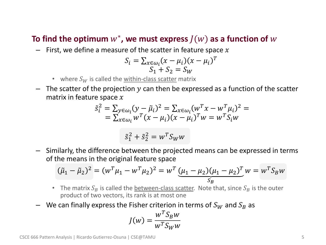## To find the optimum  $w^*$ , we must express  $J(w)$  as a function of  $w$

 $-$  First, we define a measure of the scatter in feature space x

$$
S_i = \sum_{x \in \omega_i} (x - \mu_i)(x - \mu_i)^T
$$
  

$$
S_1 + S_2 = S_W
$$

- where  $S_W$  is called the within-class scatter matrix
- $-$  The scatter of the projection y can then be expressed as a function of the scatter matrix in feature space  $x$

$$
\tilde{s}_{i}^{2} = \sum_{y \in \omega_{i}} (y - \tilde{\mu}_{i})^{2} = \sum_{x \in \omega_{i}} (w^{T}x - w^{T}\mu_{i})^{2} = \n= \sum_{x \in \omega_{i}} w^{T}(x - \mu_{i})(x - \mu_{i})^{T}w = w^{T}S_{i}w
$$

$$
\tilde{s}_1^2 + \tilde{s}_2^2 = w^T S_W w
$$

– Similarly, the difference between the projected means can be expressed in terms of the means in the original feature space

$$
(\tilde{\mu}_1 - \tilde{\mu}_2)^2 = (w^T \mu_1 - w^T \mu_2)^2 = w^T \underbrace{(\mu_1 - \mu_2)(\mu_1 - \mu_2)^T}_{S_B} w = w^T S_B w
$$

- The matrix  $S_B$  is called the between-class scatter. Note that, since  $S_B$  is the outer product of two vectors, its rank is at most one
- We can finally express the Fisher criterion in terms of  $S_W$  and  $S_B$  as

$$
J(w) = \frac{w^T S_B w}{w^T S_W w}
$$

CSCE 666 Pattern Analysis | Ricardo Gutierrez-Osuna | CSE@TAMU 5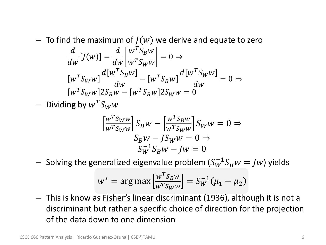- To find the maximum of  $J(w)$  we derive and equate to zero  $\overline{d}$  $\frac{d}{dw}[f(w)] =$  $\overline{d}$  $dw$  $w^TS_Bw$  $w^T S_W w$  $= 0 \Rightarrow$  $w^T S_W w$  $d[w^TS_Bw]$  $\frac{\partial B}{\partial w} - \left[ w^T S_B w \right]$  $d[w^TS_Ww$  $dw$  $= 0 \Rightarrow$  $w^T S_W w$ ]2 $S_B w - [w^T S_B w] 2 S_W w = 0$
- Dividing by  $w^T S_W w$

$$
\begin{aligned} \left[\frac{w^T S_W w}{w^T S_W w}\right] S_B w - \left[\frac{w^T S_B w}{w^T S_W w}\right] S_W w &= 0 \Rightarrow \\ S_B w - J S_W w &= 0 \Rightarrow \\ S_W^{-1} S_B w - J w &= 0 \end{aligned}
$$

 $-$  Solving the generalized eigenvalue problem  $(S_W^{-1}S_Bw=Jw)$  yields

$$
w^* = \arg \max \left[ \frac{w^T S_B w}{w^T S_W w} \right] = S_W^{-1} (\mu_1 - \mu_2)
$$

- This is know as **Fisher's linear discriminant** (1936), although it is not a discriminant but rather a specific choice of direction for the projection of the data down to one dimension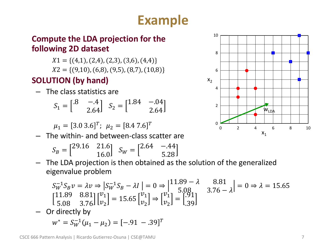## **Example**

### • **Compute the LDA projection for the following 2D dataset**

- $X1 = \{(4,1), (2,4), (2,3), (3,6), (4,4)\}\$
- $X2 = \{(9,10), (6,8), (9,5), (8,7), (10,8)\}\$

## • **SOLUTION (by hand)**

– The class statistics are

$$
S_1 = \begin{bmatrix} .8 & -.4 \\ 2.64 \end{bmatrix} \quad S_2 = \begin{bmatrix} 1.84 & -.04 \\ 2.64 \end{bmatrix}
$$

$$
\mu_1 = [3.0 \ 3.6]^T; \ \mu_2 = [8.4 \ 7.6]^T
$$

– The within- and between-class scatter are

$$
S_B = \begin{bmatrix} 29.16 & 21.6 \\ 16.0 \end{bmatrix} \quad S_W = \begin{bmatrix} 2.64 & -0.44 \\ 5.28 \end{bmatrix}
$$

– The LDA projection is then obtained as the solution of the generalized eigenvalue problem

$$
S_W^{-1}S_B v = \lambda v \Rightarrow |S_W^{-1}S_B - \lambda I| = 0 \Rightarrow |^{11.89 - \lambda} \quad 8.81 \text{ J} \ge 0 \Rightarrow \lambda = 15.65
$$
  
\n
$$
\begin{bmatrix} 11.89 & 8.81 \\ 5.08 & 3.76 \end{bmatrix} \begin{bmatrix} v_1 \\ v_2 \end{bmatrix} = 15.65 \begin{bmatrix} v_1 \\ v_2 \end{bmatrix} \Rightarrow \begin{bmatrix} v_1 \\ v_2 \end{bmatrix} = \begin{bmatrix} .91 \\ .39 \end{bmatrix}
$$

– Or directly by

$$
w^* = S_W^{-1}(\mu_1 - \mu_2) = [-.91 - .39]^T
$$

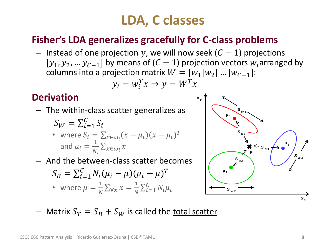## **LDA, C classes**

## • **Fisher's LDA generalizes gracefully for C-class problems**

– Instead of one projection y, we will now seek  $(C - 1)$  projections  $[y_1, y_2, ..., y_{C-1}]$  by means of  $(C-1)$  projection vectors  $w_i$  arranged by columns into a projection matrix  $W = [w_1|w_2|... |w_{C-1}]$ :

$$
y_i = w_i^T x \Rightarrow y = W^T x
$$

## • **Derivation**

– The within-class scatter generalizes as

$$
S_W = \sum_{i=1}^{C} S_i
$$
  
\n• where  $S_i = \sum_{x \in \omega_i} (x - \mu_i)(x - \mu_i)^T$   
\nand  $\mu_i = \frac{1}{N_i} \sum_{x \in \omega_i} x$ 

– And the between-class scatter becomes

$$
S_B = \sum_{i=1}^{C} N_i (\mu_i - \mu) (\mu_i - \mu)^T
$$
  
• where  $\mu = \frac{1}{N} \sum_{\forall x} x = \frac{1}{N} \sum_{i=1}^{C} N_i \mu_i$ 



– Matrix  $S_T = S_B + S_W$  is called the total scatter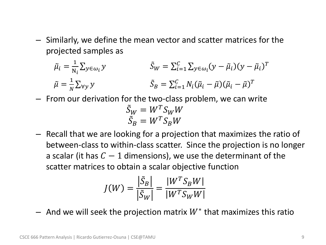– Similarly, we define the mean vector and scatter matrices for the projected samples as

$$
\tilde{\mu}_i = \frac{1}{N_i} \sum_{y \in \omega_i} y \qquad \qquad \tilde{S}_W = \sum_{i=1}^C \sum_{y \in \omega_i} (y - \tilde{\mu}_i)(y - \tilde{\mu}_i)^T
$$
\n
$$
\tilde{\mu} = \frac{1}{N} \sum_{\forall y} y \qquad \qquad \tilde{S}_B = \sum_{i=1}^C N_i (\tilde{\mu}_i - \tilde{\mu})(\tilde{\mu}_i - \tilde{\mu})^T
$$

– From our derivation for the two-class problem, we can write

$$
\begin{aligned} \tilde{S}_W &= W^T S_W W \\ \tilde{S}_B &= W^T S_B W \end{aligned}
$$

– Recall that we are looking for a projection that maximizes the ratio of between-class to within-class scatter. Since the projection is no longer a scalar (it has  $C-1$  dimensions), we use the determinant of the scatter matrices to obtain a scalar objective function

$$
J(W) = \frac{\left|\tilde{S}_B\right|}{\left|\tilde{S}_W\right|} = \frac{\left|W^T S_B W\right|}{\left|W^T S_W W\right|}
$$

 $-$  And we will seek the projection matrix  $W^*$  that maximizes this ratio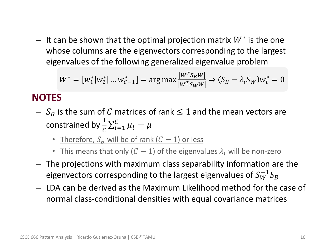$-$  It can be shown that the optimal projection matrix  $W^*$  is the one whose columns are the eigenvectors corresponding to the largest eigenvalues of the following generalized eigenvalue problem

$$
W^* = [w_1^* | w_2^* | \dots w_{C-1}^*] = \arg \max \frac{|w^T s_B w|}{|w^T s_W w|} \Rightarrow (S_B - \lambda_i S_W) w_i^* = 0
$$

## • **NOTES**

- $S_B$  is the sum of C matrices of rank  $\leq 1$  and the mean vectors are constrained by  $\frac{1}{C}\sum_{i=1}^{C} \mu_i = \mu$ 
	- Therefore,  $S_R$  will be of rank  $(C 1)$  or less
	- This means that only  $(C 1)$  of the eigenvalues  $\lambda_i$  will be non-zero
- The projections with maximum class separability information are the eigenvectors corresponding to the largest eigenvalues of  $S_W^{-1}S_B$
- LDA can be derived as the Maximum Likelihood method for the case of normal class-conditional densities with equal covariance matrices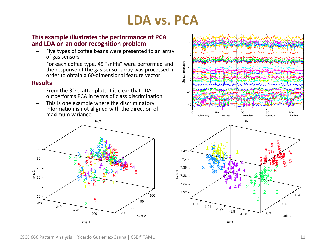## **LDA vs. PCA**

### • **This example illustrates the performance of PCA and LDA on an odor recognition problem**

- Five types of coffee beans were presented to an array of gas sensors
- For each coffee type, 45 "sniffs" were performed and the response of the gas sensor array was processed in order to obtain a 60-dimensional feature vector

#### • **Results**

- From the 3D scatter plots it is clear that LDA outperforms PCA in terms of class discrimination
- This is one example where the discriminatory information is not aligned with the direction of maximum variance





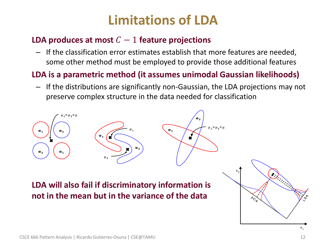## **Limitations of LDA**

### **LDA produces at most**  $C - 1$  feature projections

– If the classification error estimates establish that more features are needed, some other method must be employed to provide those additional features

## • **LDA is a parametric method (it assumes unimodal Gaussian likelihoods)**

– If the distributions are significantly non-Gaussian, the LDA projections may not preserve complex structure in the data needed for classification

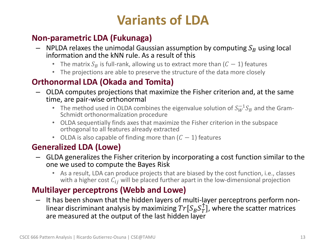## **Variants of LDA**

## • **Non-parametric LDA (Fukunaga)**

- NPLDA relaxes the unimodal Gaussian assumption by computing  $S_B$  using local information and the kNN rule. As a result of this
	- The matrix  $S_B$  is full-rank, allowing us to extract more than  $(C 1)$  features
	- The projections are able to preserve the structure of the data more closely

## • **Orthonormal LDA (Okada and Tomita)**

- OLDA computes projections that maximize the Fisher criterion and, at the same time, are pair-wise orthonormal
	- The method used in OLDA combines the eigenvalue solution of  $S_W^{-1}S_B$  and the Gram-Schmidt orthonormalization procedure
	- OLDA sequentially finds axes that maximize the Fisher criterion in the subspace orthogonal to all features already extracted
	- OLDA is also capable of finding more than  $(C 1)$  features

## • **Generalized LDA (Lowe)**

- GLDA generalizes the Fisher criterion by incorporating a cost function similar to the one we used to compute the Bayes Risk
	- As a result, LDA can produce projects that are biased by the cost function, i.e., classes with a higher cost  $C_{ij}$  will be placed further apart in the low-dimensional projection

### • **Multilayer perceptrons (Webb and Lowe)**

– It has been shown that the hidden layers of multi-layer perceptrons perform nonlinear discriminant analysis by maximizing  $Tr[S_B S_T^{\dagger}]$ , where the scatter matrices are measured at the output of the last hidden layer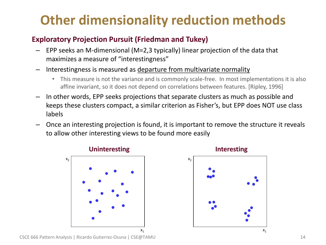## **Other dimensionality reduction methods**

### • **Exploratory Projection Pursuit (Friedman and Tukey)**

- EPP seeks an M-dimensional (M=2,3 typically) linear projection of the data that maximizes a measure of "interestingness"
- Interestingness is measured as departure from multivariate normality
	- This measure is not the variance and is commonly scale-free. In most implementations it is also affine invariant, so it does not depend on correlations between features. [Ripley, 1996]
- In other words, EPP seeks projections that separate clusters as much as possible and keeps these clusters compact, a similar criterion as Fisher's, but EPP does NOT use class labels
- Once an interesting projection is found, it is important to remove the structure it reveals to allow other interesting views to be found more easily







CSCE 666 Pattern Analysis | Ricardo Gutierrez-Osuna | CSE@TAMU 14